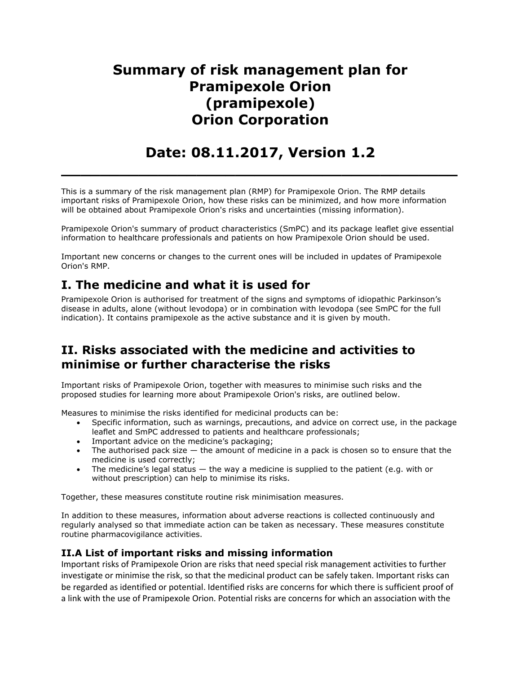# **Summary of risk management plan for Pramipexole Orion (pramipexole) Orion Corporation**

# **Date: 08.11.2017, Version 1.2**

**\_\_\_\_\_\_\_\_\_\_\_\_\_\_\_\_\_\_\_\_\_\_\_\_\_\_\_\_\_\_\_\_\_\_\_\_\_\_\_\_\_**

This is a summary of the risk management plan (RMP) for Pramipexole Orion. The RMP details important risks of Pramipexole Orion, how these risks can be minimized, and how more information will be obtained about Pramipexole Orion's risks and uncertainties (missing information).

Pramipexole Orion's summary of product characteristics (SmPC) and its package leaflet give essential information to healthcare professionals and patients on how Pramipexole Orion should be used.

Important new concerns or changes to the current ones will be included in updates of Pramipexole Orion's RMP.

## **I. The medicine and what it is used for**

Pramipexole Orion is authorised for treatment of the signs and symptoms of idiopathic Parkinson's disease in adults, alone (without levodopa) or in combination with levodopa (see SmPC for the full indication). It contains pramipexole as the active substance and it is given by mouth.

## **II. Risks associated with the medicine and activities to minimise or further characterise the risks**

Important risks of Pramipexole Orion, together with measures to minimise such risks and the proposed studies for learning more about Pramipexole Orion's risks, are outlined below.

Measures to minimise the risks identified for medicinal products can be:

- Specific information, such as warnings, precautions, and advice on correct use, in the package leaflet and SmPC addressed to patients and healthcare professionals;
- Important advice on the medicine's packaging;
- $\bullet$  The authorised pack size  $-$  the amount of medicine in a pack is chosen so to ensure that the medicine is used correctly;
- The medicine's legal status  $-$  the way a medicine is supplied to the patient (e.g. with or without prescription) can help to minimise its risks.

Together, these measures constitute routine risk minimisation measures.

In addition to these measures, information about adverse reactions is collected continuously and regularly analysed so that immediate action can be taken as necessary. These measures constitute routine pharmacovigilance activities.

#### **II.A List of important risks and missing information**

Important risks of Pramipexole Orion are risks that need special risk management activities to further investigate or minimise the risk, so that the medicinal product can be safely taken. Important risks can be regarded as identified or potential. Identified risks are concerns for which there is sufficient proof of a link with the use of Pramipexole Orion. Potential risks are concerns for which an association with the